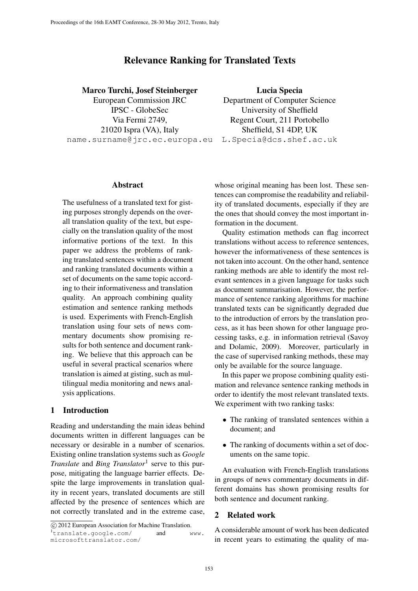# Relevance Ranking for Translated Texts

### Marco Turchi, Josef Steinberger

European Commission JRC IPSC - GlobeSec Via Fermi 2749, 21020 Ispra (VA), Italy name.surname@jrc.ec.europa.eu

Lucia Specia Department of Computer Science University of Sheffield Regent Court, 211 Portobello Sheffield, S1 4DP, UK L.Specia@dcs.shef.ac.uk

#### Abstract

The usefulness of a translated text for gisting purposes strongly depends on the overall translation quality of the text, but especially on the translation quality of the most informative portions of the text. In this paper we address the problems of ranking translated sentences within a document and ranking translated documents within a set of documents on the same topic according to their informativeness and translation quality. An approach combining quality estimation and sentence ranking methods is used. Experiments with French-English translation using four sets of news commentary documents show promising results for both sentence and document ranking. We believe that this approach can be useful in several practical scenarios where translation is aimed at gisting, such as multilingual media monitoring and news analysis applications.

# 1 Introduction

Reading and understanding the main ideas behind documents written in different languages can be necessary or desirable in a number of scenarios. Existing online translation systems such as *Google Translate* and *Bing Translator*<sup>1</sup> serve to this purpose, mitigating the language barrier effects. Despite the large improvements in translation quality in recent years, translated documents are still affected by the presence of sentences which are not correctly translated and in the extreme case, whose original meaning has been lost. These sentences can compromise the readability and reliability of translated documents, especially if they are the ones that should convey the most important information in the document.

Quality estimation methods can flag incorrect translations without access to reference sentences, however the informativeness of these sentences is not taken into account. On the other hand, sentence ranking methods are able to identify the most relevant sentences in a given language for tasks such as document summarisation. However, the performance of sentence ranking algorithms for machine translated texts can be significantly degraded due to the introduction of errors by the translation process, as it has been shown for other language processing tasks, e.g. in information retrieval (Savoy and Dolamic, 2009). Moreover, particularly in the case of supervised ranking methods, these may only be available for the source language.

In this paper we propose combining quality estimation and relevance sentence ranking methods in order to identify the most relevant translated texts. We experiment with two ranking tasks:

- The ranking of translated sentences within a document; and
- The ranking of documents within a set of documents on the same topic.

An evaluation with French-English translations in groups of news commentary documents in different domains has shown promising results for both sentence and document ranking.

### 2 Related work

A considerable amount of work has been dedicated in recent years to estimating the quality of ma-

c 2012 European Association for Machine Translation. <sup>1</sup>translate.google.com/ and www.

microsofttranslator.com/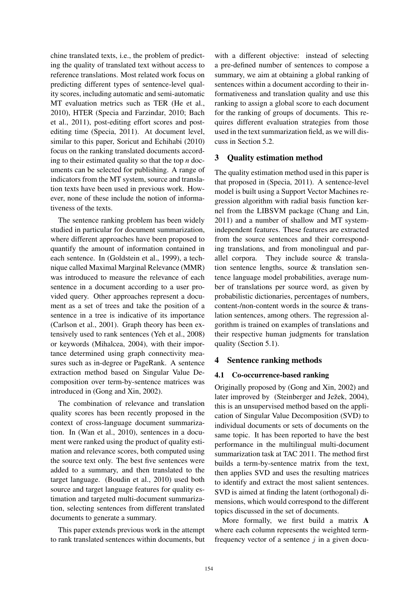chine translated texts, i.e., the problem of predicting the quality of translated text without access to reference translations. Most related work focus on predicting different types of sentence-level quality scores, including automatic and semi-automatic MT evaluation metrics such as TER (He et al., 2010), HTER (Specia and Farzindar, 2010; Bach et al., 2011), post-editing effort scores and postediting time (Specia, 2011). At document level, similar to this paper, Soricut and Echihabi (2010) focus on the ranking translated documents according to their estimated quality so that the top *n* documents can be selected for publishing. A range of indicators from the MT system, source and translation texts have been used in previous work. However, none of these include the notion of informativeness of the texts.

The sentence ranking problem has been widely studied in particular for document summarization, where different approaches have been proposed to quantify the amount of information contained in each sentence. In (Goldstein et al., 1999), a technique called Maximal Marginal Relevance (MMR) was introduced to measure the relevance of each sentence in a document according to a user provided query. Other approaches represent a document as a set of trees and take the position of a sentence in a tree is indicative of its importance (Carlson et al., 2001). Graph theory has been extensively used to rank sentences (Yeh et al., 2008) or keywords (Mihalcea, 2004), with their importance determined using graph connectivity measures such as in-degree or PageRank. A sentence extraction method based on Singular Value Decomposition over term-by-sentence matrices was introduced in (Gong and Xin, 2002).

The combination of relevance and translation quality scores has been recently proposed in the context of cross-language document summarization. In (Wan et al., 2010), sentences in a document were ranked using the product of quality estimation and relevance scores, both computed using the source text only. The best five sentences were added to a summary, and then translated to the target language. (Boudin et al., 2010) used both source and target language features for quality estimation and targeted multi-document summarization, selecting sentences from different translated documents to generate a summary.

This paper extends previous work in the attempt to rank translated sentences within documents, but with a different objective: instead of selecting a pre-defined number of sentences to compose a summary, we aim at obtaining a global ranking of sentences within a document according to their informativeness and translation quality and use this ranking to assign a global score to each document for the ranking of groups of documents. This requires different evaluation strategies from those used in the text summarization field, as we will discuss in Section 5.2.

# 3 Quality estimation method

The quality estimation method used in this paper is that proposed in (Specia, 2011). A sentence-level model is built using a Support Vector Machines regression algorithm with radial basis function kernel from the LIBSVM package (Chang and Lin, 2011) and a number of shallow and MT systemindependent features. These features are extracted from the source sentences and their corresponding translations, and from monolingual and parallel corpora. They include source & translation sentence lengths, source & translation sentence language model probabilities, average number of translations per source word, as given by probabilistic dictionaries, percentages of numbers, content-/non-content words in the source & translation sentences, among others. The regression algorithm is trained on examples of translations and their respective human judgments for translation quality (Section 5.1).

# 4 Sentence ranking methods

### 4.1 Co-occurrence-based ranking

Originally proposed by (Gong and Xin, 2002) and later improved by (Steinberger and Ježek, 2004), this is an unsupervised method based on the application of Singular Value Decomposition (SVD) to individual documents or sets of documents on the same topic. It has been reported to have the best performance in the multilingual multi-document summarization task at TAC 2011. The method first builds a term-by-sentence matrix from the text, then applies SVD and uses the resulting matrices to identify and extract the most salient sentences. SVD is aimed at finding the latent (orthogonal) dimensions, which would correspond to the different topics discussed in the set of documents.

More formally, we first build a matrix A where each column represents the weighted termfrequency vector of a sentence  $j$  in a given docu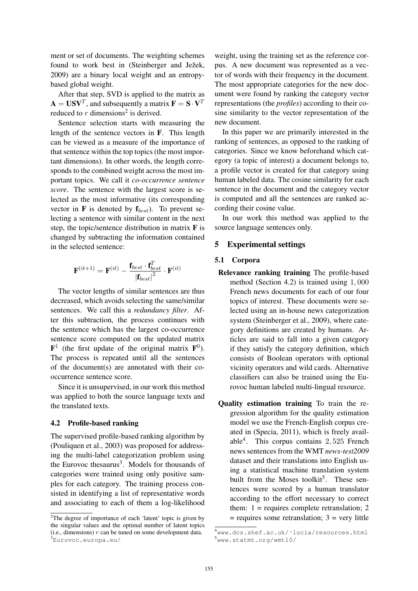ment or set of documents. The weighting schemes found to work best in (Steinberger and Ježek, 2009) are a binary local weight and an entropybased global weight.

After that step, SVD is applied to the matrix as  $\mathbf{A} = \mathbf{U}\mathbf{S}\mathbf{V}^T$ , and subsequently a matrix  $\mathbf{F} = \mathbf{S} \cdot \mathbf{V}^T$ reduced to  $r$  dimensions<sup>2</sup> is derived.

Sentence selection starts with measuring the length of the sentence vectors in F. This length can be viewed as a measure of the importance of that sentence within the top topics (the most important dimensions). In other words, the length corresponds to the combined weight across the most important topics. We call it *co-occurrence sentence score*. The sentence with the largest score is selected as the most informative (its corresponding vector in  $\bf{F}$  is denoted by  $\bf{f}_{best}$ ). To prevent selecting a sentence with similar content in the next step, the topic/sentence distribution in matrix  $\bf{F}$  is changed by subtracting the information contained in the selected sentence:

$$
\mathbf{F}^{(it+1)} = \mathbf{F}^{(it)} - \frac{\mathbf{f}_{best} \cdot \mathbf{f}_{best}^T}{|\mathbf{f}_{best}|^2} \cdot \mathbf{F}^{(it)}
$$

The vector lengths of similar sentences are thus decreased, which avoids selecting the same/similar sentences. We call this a *redundancy filter*. After this subtraction, the process continues with the sentence which has the largest co-occurrence sentence score computed on the updated matrix  $\mathbf{F}^1$  (the first update of the original matrix  $\mathbf{F}^0$ ). The process is repeated until all the sentences of the document(s) are annotated with their cooccurrence sentence score.

Since it is unsupervised, in our work this method was applied to both the source language texts and the translated texts.

### 4.2 Profile-based ranking

The supervised profile-based ranking algorithm by (Pouliquen et al., 2003) was proposed for addressing the multi-label categorization problem using the Eurovoc thesaurus<sup>3</sup>. Models for thousands of categories were trained using only positive samples for each category. The training process consisted in identifying a list of representative words and associating to each of them a log-likelihood weight, using the training set as the reference corpus. A new document was represented as a vector of words with their frequency in the document. The most appropriate categories for the new document were found by ranking the category vector representations (the *profiles*) according to their cosine similarity to the vector representation of the new document.

In this paper we are primarily interested in the ranking of sentences, as opposed to the ranking of categories. Since we know beforehand which category (a topic of interest) a document belongs to, a profile vector is created for that category using human labeled data. The cosine similarity for each sentence in the document and the category vector is computed and all the sentences are ranked according their cosine value.

In our work this method was applied to the source language sentences only.

### 5 Experimental settings

#### 5.1 Corpora

- Relevance ranking training The profile-based method (Section 4.2) is trained using 1, 000 French news documents for each of our four topics of interest. These documents were selected using an in-house news categorization system (Steinberger et al., 2009), where category definitions are created by humans. Articles are said to fall into a given category if they satisfy the category definition, which consists of Boolean operators with optional vicinity operators and wild cards. Alternative classifiers can also be trained using the Eurovoc human labeled multi-lingual resource.
- Quality estimation training To train the regression algorithm for the quality estimation model we use the French-English corpus created in (Specia, 2011), which is freely available<sup>4</sup> . This corpus contains 2, 525 French news sentences from the WMT *news-test2009* dataset and their translations into English using a statistical machine translation system built from the Moses toolkit<sup>5</sup>. These sentences were scored by a human translator according to the effort necessary to correct them:  $1$  = requires complete retranslation; 2  $=$  requires some retranslation;  $3 =$  very little

<sup>&</sup>lt;sup>2</sup>The degree of importance of each 'latent' topic is given by the singular values and the optimal number of latent topics (i.e., dimensions)  $r$  can be tuned on some development data. <sup>3</sup>Eurovoc.europa.eu/

<sup>4</sup>www.dcs.shef.ac.uk/˜lucia/resources.html <sup>5</sup>www.statmt.org/wmt10/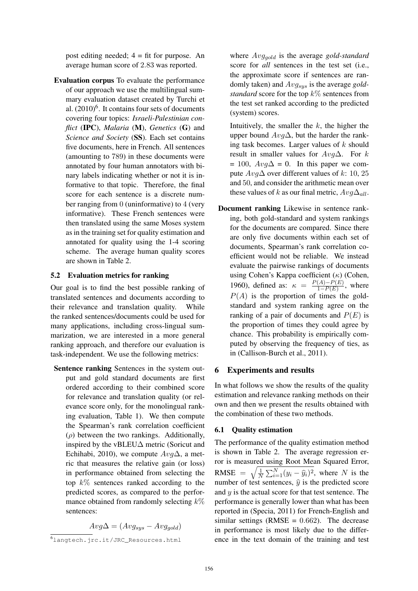post editing needed;  $4 = \text{fit}$  for purpose. An average human score of 2.83 was reported.

Evaluation corpus To evaluate the performance of our approach we use the multilingual summary evaluation dataset created by Turchi et al.  $(2010)^6$ . It contains four sets of documents covering four topics: *Israeli-Palestinian conflict* (IPC), *Malaria* (M), *Genetics* (G) and *Science and Society* (SS). Each set contains five documents, here in French. All sentences (amounting to 789) in these documents were annotated by four human annotators with binary labels indicating whether or not it is informative to that topic. Therefore, the final score for each sentence is a discrete number ranging from 0 (uninformative) to 4 (very informative). These French sentences were then translated using the same Moses system as in the training set for quality estimation and annotated for quality using the 1-4 scoring scheme. The average human quality scores are shown in Table 2.

### 5.2 Evaluation metrics for ranking

Our goal is to find the best possible ranking of translated sentences and documents according to their relevance and translation quality. While the ranked sentences/documents could be used for many applications, including cross-lingual summarization, we are interested in a more general ranking approach, and therefore our evaluation is task-independent. We use the following metrics:

Sentence ranking Sentences in the system output and gold standard documents are first ordered according to their combined score for relevance and translation quality (or relevance score only, for the monolingual ranking evaluation, Table 1). We then compute the Spearman's rank correlation coefficient ( $\rho$ ) between the two rankings. Additionally, inspired by the vBLEU∆ metric (Soricut and Echihabi, 2010), we compute  $Avq\Delta$ , a metric that measures the relative gain (or loss) in performance obtained from selecting the top  $k\%$  sentences ranked according to the predicted scores, as compared to the performance obtained from randomly selecting  $k\%$ sentences:

 $Avg\Delta = (Avg_{sus} - Avg_{gold})$ 

where  $Avg_{gold}$  is the average *gold-standard* score for *all* sentences in the test set (i.e., the approximate score if sentences are randomly taken) and Avgsys is the average *goldstandard* score for the top  $k\%$  sentences from the test set ranked according to the predicted (system) scores.

Intuitively, the smaller the  $k$ , the higher the upper bound  $Avg\Delta$ , but the harder the ranking task becomes. Larger values of  $k$  should result in smaller values for  $Avg\Delta$ . For k  $= 100$ ,  $Avg\Delta = 0$ . In this paper we compute  $Avq\Delta$  over different values of k: 10, 25 and 50, and consider the arithmetic mean over these values of k as our final metric,  $Avg\Delta_{all}$ .

Document ranking Likewise in sentence ranking, both gold-standard and system rankings for the documents are compared. Since there are only five documents within each set of documents, Spearman's rank correlation coefficient would not be reliable. We instead evaluate the pairwise rankings of documents using Cohen's Kappa coefficient  $(\kappa)$  (Cohen, 1960), defined as:  $\kappa = \frac{P(A) - P(E)}{1 - P(E)}$  $\frac{(A)-P(E)}{1-P(E)}$ , where  $P(A)$  is the proportion of times the goldstandard and system ranking agree on the ranking of a pair of documents and  $P(E)$  is the proportion of times they could agree by chance. This probability is empirically computed by observing the frequency of ties, as in (Callison-Burch et al., 2011).

### 6 Experiments and results

In what follows we show the results of the quality estimation and relevance ranking methods on their own and then we present the results obtained with the combination of these two methods.

### 6.1 Quality estimation

The performance of the quality estimation method is shown in Table 2. The average regression error is measured using Root Mean Squared Error, RMSE =  $\sqrt{\frac{1}{\Lambda}}$  $\frac{1}{N} \sum_{i=1}^{N} (y_i - \hat{y}_i)^2$ , where N is the number of test sentences,  $\hat{y}$  is the predicted score and  $y$  is the actual score for that test sentence. The performance is generally lower than what has been reported in (Specia, 2011) for French-English and similar settings (RMSE =  $0.662$ ). The decrease in performance is most likely due to the difference in the text domain of the training and test

 $\overline{6}$ langtech.jrc.it/JRC\_Resources.html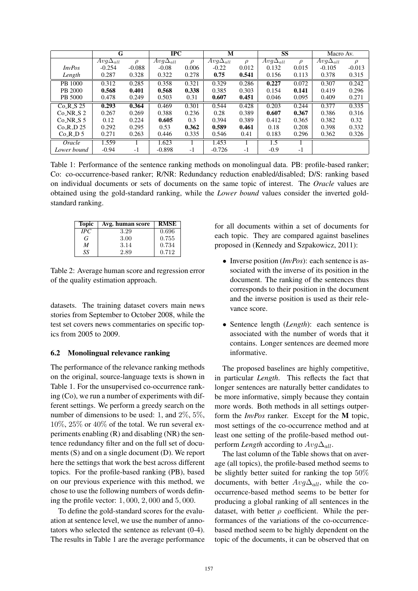|               | G                 |          | <b>IPC</b>        |        | M                 |        | <b>SS</b>         |        | Macro Av.         |          |
|---------------|-------------------|----------|-------------------|--------|-------------------|--------|-------------------|--------|-------------------|----------|
|               | $Avg\Delta_{all}$ | $\rho$   | $Avq\Delta_{all}$ | $\rho$ | $Avg\Delta_{all}$ | $\rho$ | $Avg\Delta_{all}$ | $\rho$ | $Avg\Delta_{all}$ | $\rho$   |
| <i>InvPos</i> | $-0.254$          | $-0.088$ | $-0.08$           | 0.006  | $-0.22$           | 0.012  | 0.132             | 0.015  | $-0.105$          | $-0.013$ |
| Length        | 0.287             | 0.328    | 0.322             | 0.278  | 0.75              | 0.541  | 0.156             | 0.113  | 0.378             | 0.315    |
| PB 1000       | 0.312             | 0.285    | 0.358             | 0.321  | 0.329             | 0.286  | 0.227             | 0.072  | 0.307             | 0.242    |
| PB 2000       | 0.568             | 0.401    | 0.568             | 0.338  | 0.385             | 0.303  | 0.154             | 0.141  | 0.419             | 0.296    |
| PB 5000       | 0.478             | 0.249    | 0.503             | 0.31   | 0.607             | 0.451  | 0.046             | 0.095  | 0.409             | 0.271    |
| $Co-R_S 25$   | 0.293             | 0.364    | 0.469             | 0.301  | 0.544             | 0.428  | 0.203             | 0.244  | 0.377             | 0.335    |
| $Co_NR_S$ 2   | 0.267             | 0.269    | 0.388             | 0.236  | 0.28              | 0.389  | 0.607             | 0.367  | 0.386             | 0.316    |
| $Co_NR_S$ 5   | 0.12              | 0.224    | 0.605             | 0.3    | 0.394             | 0.389  | 0.412             | 0.365  | 0.382             | 0.32     |
| $Co_R_D_25$   | 0.292             | 0.295    | 0.53              | 0.362  | 0.589             | 0.461  | 0.18              | 0.208  | 0.398             | 0.332    |
| Co.R.D.5      | 0.271             | 0.263    | 0.446             | 0.335  | 0.546             | 0.41   | 0.183             | 0.296  | 0.362             | 0.326    |
| Oracle        | 1.559             |          | 1.623             |        | 1.453             |        | 1.5               |        |                   |          |
| Lower bound   | $-0.94$           | -1       | $-0.898$          | $-1$   | $-0.726$          | $-1$   | $-0.9$            | -1     |                   |          |

Table 1: Performance of the sentence ranking methods on monolingual data. PB: profile-based ranker; Co: co-occurrence-based ranker; R/NR: Redundancy reduction enabled/disabled; D/S: ranking based on individual documents or sets of documents on the same topic of interest. The *Oracle* values are obtained using the gold-standard ranking, while the *Lower bound* values consider the inverted goldstandard ranking.

| <b>Topic</b> | Avg. human score | <b>RMSE</b> |
|--------------|------------------|-------------|
| IPC          | 3.29             | 0.696       |
| G            | 3.00             | 0.755       |
| M            | 3.14             | 0.734       |
| SS.          | 2.89             | 0.712       |

Table 2: Average human score and regression error of the quality estimation approach.

datasets. The training dataset covers main news stories from September to October 2008, while the test set covers news commentaries on specific topics from 2005 to 2009.

### 6.2 Monolingual relevance ranking

The performance of the relevance ranking methods on the original, source-language texts is shown in Table 1. For the unsupervised co-occurrence ranking (Co), we run a number of experiments with different settings. We perform a greedy search on the number of dimensions to be used: 1, and 2%, 5%,  $10\%, 25\%$  or  $40\%$  of the total. We run several experiments enabling (R) and disabling (NR) the sentence redundancy filter and on the full set of documents (S) and on a single document (D). We report here the settings that work the best across different topics. For the profile-based ranking (PB), based on our previous experience with this method, we chose to use the following numbers of words defining the profile vector: 1, 000, 2, 000 and 5, 000.

To define the gold-standard scores for the evaluation at sentence level, we use the number of annotators who selected the sentence as relevant (0-4). The results in Table 1 are the average performance for all documents within a set of documents for each topic. They are compared against baselines proposed in (Kennedy and Szpakowicz, 2011):

- Inverse position (*InvPos*): each sentence is associated with the inverse of its position in the document. The ranking of the sentences thus corresponds to their position in the document and the inverse position is used as their relevance score.
- Sentence length (*Length*): each sentence is associated with the number of words that it contains. Longer sentences are deemed more informative.

The proposed baselines are highly competitive, in particular *Length*. This reflects the fact that longer sentences are naturally better candidates to be more informative, simply because they contain more words. Both methods in all settings outperform the *InvPos* ranker. Except for the M topic, most settings of the co-occurrence method and at least one setting of the profile-based method outperform *Length* according to  $Avg\Delta_{all}$ .

The last column of the Table shows that on average (all topics), the profile-based method seems to be slightly better suited for ranking the top 50% documents, with better  $Avg\Delta_{all}$ , while the cooccurrence-based method seems to be better for producing a global ranking of all sentences in the dataset, with better  $\rho$  coefficient. While the performances of the variations of the co-occurrencebased method seem to be highly dependent on the topic of the documents, it can be observed that on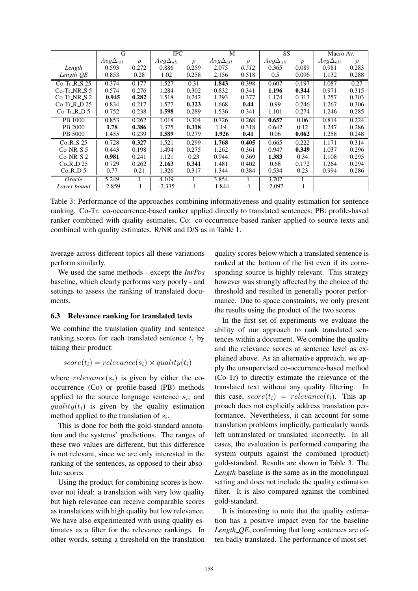|                | G                 |        | <b>IPC</b>        |        | M                            |        | SS                |        | Macro Av.         |        |
|----------------|-------------------|--------|-------------------|--------|------------------------------|--------|-------------------|--------|-------------------|--------|
|                | $Avg\Delta_{all}$ | $\rho$ | $Avg\Delta_{all}$ | $\rho$ | $\overline{Avg\Delta_{all}}$ | $\rho$ | $Avg\Delta_{all}$ | $\rho$ | $Avg\Delta_{all}$ | $\rho$ |
| Length         | 0.593             | 0.272  | 0.886             | 0.259  | 2.075                        | 0.512  | 0.365             | 0.089  | 0.981             | 0.283  |
| $Length_0E$    | 0.853             | 0.28   | 1.02              | 0.258  | 2.156                        | 0.518  | 0.5               | 0.096  | 1.132             | 0.288  |
| $Co-Tr_R_S$ 25 | 0.374             | 0.177  | 1.527             | 0.31   | 1.843                        | 0.398  | 0.607             | 0.197  | 1.087             | 0.27   |
| $Co-Tr_NR_S 5$ | 0.574             | 0.276  | 1.284             | 0.302  | 0.832                        | 0.341  | 1.196             | 0.344  | 0.971             | 0.315  |
| $Co-Tr_NR_S$ 2 | 0.945             | 0.282  | 1.518             | 0.242  | 1.393                        | 0.377  | 1.174             | 0.313  | 1.257             | 0.303  |
| $Co-Tr_R_D$ 25 | 0.834             | 0.217  | 1.577             | 0.323  | 1.668                        | 0.44   | 0.99              | 0.246  | 1.267             | 0.306  |
| $Co-Tr.R.D.5$  | 0.752             | 0.238  | 1.598             | 0.289  | 1.536                        | 0.341  | 1.101             | 0.274  | 1.246             | 0.285  |
| PB 1000        | 0.853             | 0.262  | 1.018             | 0.304  | 0.726                        | 0.268  | 0.657             | 0.06   | 0.814             | 0.224  |
| PB 2000        | 1.78              | 0.386  | 1.375             | 0.318  | 1.19                         | 0.318  | 0.642             | 0.12   | 1.247             | 0.286  |
| PB 5000        | 1.455             | 0.239  | 1.589             | 0.279  | 1.926                        | 0.41   | 0.06              | 0.062  | 1.258             | 0.248  |
| $Co_R_S$ 25    | 0.728             | 0.327  | 1.521             | 0.299  | 1.768                        | 0.405  | 0.665             | 0.222  | 1.171             | 0.314  |
| $Co_NR_S 5$    | 0.443             | 0.198  | 1.494             | 0.275  | 1.262                        | 0.361  | 0.947             | 0.349  | 1.037             | 0.296  |
| $Co_NR_S$ 2    | 0.981             | 0.241  | 1.121             | 0.23   | 0.944                        | 0.369  | 1.383             | 0.34   | 1.108             | 0.295  |
| $Co_R$ D 25    | 0.729             | 0.262  | 2.163             | 0.341  | 1.481                        | 0.402  | 0.68              | 0.172  | 1.264             | 0.294  |
| $Co_R_D_5$     | 0.77              | 0.21   | 1.326             | 0.317  | 1.344                        | 0.384  | 0.534             | 0.23   | 0.994             | 0.286  |
| Oracle         | 5.249             |        | 4.109             |        | 3.854                        |        | 3.707             |        |                   |        |
| Lower bound    | $-2.859$          | -1     | $-2.335$          | $-1$   | $-1.844$                     | $-1$   | $-2.097$          | $-1$   |                   |        |

Table 3: Performance of the approaches combining informativeness and quality estimation for sentence ranking. Co-Tr: co-occurrence-based ranker applied directly to translated sentences; PB: profile-based ranker combined with quality estimates, Co: co-occurrence-based ranker applied to source texts and combined with quality estimates. R/NR and D/S as in Table 1.

average across different topics all these variations perform similarly.

We used the same methods - except the *InvPos* baseline, which clearly performs very poorly - and settings to assess the ranking of translated documents.

#### 6.3 Relevance ranking for translated texts

We combine the translation quality and sentence ranking scores for each translated sentence  $t_i$  by taking their product:

$$
score(t_i) = relevance(s_i) \times quality(t_i)
$$

where  $relevance(s_i)$  is given by either the cooccurrence (Co) or profile-based (PB) methods applied to the source language sentence  $s_i$ , and quality( $t_i$ ) is given by the quality estimation method applied to the translation of  $s_i$ .

This is done for both the gold-standard annotation and the systems' predictions. The ranges of these two values are different, but this difference is not relevant, since we are only interested in the ranking of the sentences, as opposed to their absolute scores.

Using the product for combining scores is however not ideal: a translation with very low quality but high relevance can receive comparable scores as translations with high quality but low relevance. We have also experimented with using quality estimates as a filter for the relevance rankings. In other words, setting a threshold on the translation

quality scores below which a translated sentence is ranked at the bottom of the list even if its corresponding source is highly relevant. This strategy however was strongly affected by the choice of the threshold and resulted in generally poorer performance. Due to space constraints, we only present the results using the product of the two scores.

In the first set of experiments we evaluate the ability of our approach to rank translated sentences within a document. We combine the quality and the relevance scores at sentence level as explained above. As an alternative approach, we apply the unsupervised co-occurrence-based method (Co-Tr) to directly estimate the relevance of the translated text without any quality filtering. In this case,  $score(t_i) = relevance(t_i)$ . This approach does not explicitly address translation performance. Nevertheless, it can account for some translation problems implicitly, particularly words left untranslated or translated incorrectly. In all cases, the evaluation is performed comparing the system outputs against the combined (product) gold-standard. Results are shown in Table 3. The *Length* baseline is the same as in the monolingual setting and does not include the quality estimation filter. It is also compared against the combined gold-standard.

It is interesting to note that the quality estimation has a positive impact even for the baseline *Length QE*, confirming that long sentences are often badly translated. The performance of most set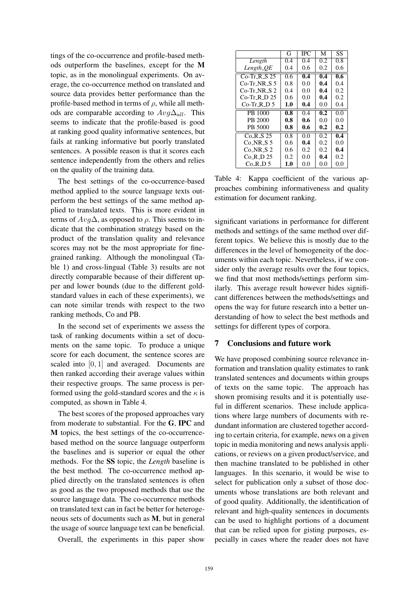tings of the co-occurrence and profile-based methods outperform the baselines, except for the M topic, as in the monolingual experiments. On average, the co-occurrence method on translated and source data provides better performance than the profile-based method in terms of  $\rho$ , while all methods are comparable according to  $Avg\Delta_{all}$ . This seems to indicate that the profile-based is good at ranking good quality informative sentences, but fails at ranking informative but poorly translated sentences. A possible reason is that it scores each sentence independently from the others and relies on the quality of the training data.

The best settings of the co-occurrence-based method applied to the source language texts outperform the best settings of the same method applied to translated texts. This is more evident in terms of  $Avg\Delta$ , as opposed to  $\rho$ . This seems to indicate that the combination strategy based on the product of the translation quality and relevance scores may not be the most appropriate for finegrained ranking. Although the monolingual (Table 1) and cross-lingual (Table 3) results are not directly comparable because of their different upper and lower bounds (due to the different goldstandard values in each of these experiments), we can note similar trends with respect to the two ranking methods, Co and PB.

In the second set of experiments we assess the task of ranking documents within a set of documents on the same topic. To produce a unique score for each document, the sentence scores are scaled into [0, 1] and averaged. Documents are then ranked according their average values within their respective groups. The same process is performed using the gold-standard scores and the  $\kappa$  is computed, as shown in Table 4.

The best scores of the proposed approaches vary from moderate to substantial. For the G, IPC and M topics, the best settings of the co-occurrencebased method on the source language outperform the baselines and is superior or equal the other methods. For the SS topic, the *Length* baseline is the best method. The co-occurrence method applied directly on the translated sentences is often as good as the two proposed methods that use the source language data. The co-occurrence methods on translated text can in fact be better for heterogeneous sets of documents such as M, but in general the usage of source language text can be beneficial.

Overall, the experiments in this paper show

|                               | G   | <b>IPC</b> | М   | SS               |
|-------------------------------|-----|------------|-----|------------------|
| Length                        | 0.4 | 0.4        | 0.2 | 0.8              |
| $Length_0E$                   | 0.4 | 0.6        | 0.2 | 0.6              |
| $Co-Tr_R_S 25$                | 0.6 | 0.4        | 0.4 | 0.6              |
| $Co-Tr_NR_S 5$                | 0.8 | 0.0        | 0.4 | 0.4              |
| $Co-Tr$ NR S 2                | 0.4 | 0.0        | 0.4 | 0.2              |
| $Co-Tr$ <sub>-R</sub> $_D$ 25 | 0.6 | 0.0        | 0.4 | 0.2              |
| $Co-Tr_R_D5$                  | 1.0 | 0.4        | 0.0 | 0.4              |
| PB 1000                       | 0.8 | 0.4        | 0.2 | 0.0              |
| PB 2000                       | 0.8 | 0.6        | 0.0 | 0.0              |
| PB 5000                       | 0.8 | 0.6        | 0.2 | 0.2              |
| Co R S 25                     | 0.8 | 0.0        | 0.2 | $0.\overline{4}$ |
| $Co-NR_S 5$                   | 0.6 | 0.4        | 0.2 | 0.0              |
| Co NR S 2                     | 0.6 | 0.2        | 0.2 | 0.4              |
| Co R D 25                     | 0.2 | 0.0        | 0.4 | 0.2              |
| $Co_R_D 5$                    | 1.0 | 0.0        | 0.0 | 0.0              |

Table 4: Kappa coefficient of the various approaches combining informativeness and quality estimation for document ranking.

significant variations in performance for different methods and settings of the same method over different topics. We believe this is mostly due to the differences in the level of homogeneity of the documents within each topic. Nevertheless, if we consider only the average results over the four topics, we find that most methods/settings perform similarly. This average result however hides significant differences between the methods/settings and opens the way for future research into a better understanding of how to select the best methods and settings for different types of corpora.

### 7 Conclusions and future work

We have proposed combining source relevance information and translation quality estimates to rank translated sentences and documents within groups of texts on the same topic. The approach has shown promising results and it is potentially useful in different scenarios. These include applications where large numbers of documents with redundant information are clustered together according to certain criteria, for example, news on a given topic in media monitoring and news analysis applications, or reviews on a given product/service, and then machine translated to be published in other languages. In this scenario, it would be wise to select for publication only a subset of those documents whose translations are both relevant and of good quality. Additionally, the identification of relevant and high-quality sentences in documents can be used to highlight portions of a document that can be relied upon for gisting purposes, especially in cases where the reader does not have